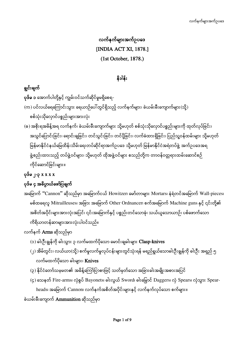# လက်နက်များအက်ဥပဒေ [INDIA ACT XI, 1878.] (1st October, 1878.)

### နိဒါန်း

### ရွှင်းချက်

**ပုဒ်မ ၁** အောက်ပါတို့နှင့် ကျွမ်းဝင်သက်ဆိုင်မှုမရှိစေရ-

- (က) ပင်လယ်ရေကြောင်းသွား ရေယာဉ်ပေါ်တွင်ရှိသည့် လက်နက်များ၊ ခဲယမ်းမီးကျောက်များ(သို့) စစ်သုံးသိုလှောင်ပစ္စည်းများအားလုံး
- (ခ) အစိုးရအမိန့်အရ လက်နက်၊ ခဲယမ်းမီးကျောက်များ သို့မဟုတ် စစ်သုံးသိုလှောင်ပစ္စည်းများကို ထုတ်လုပ်ခြင်း၊ အသွင်ပြောင်းခြင်း၊ ရောင်းချခြင်း၊ တင်သွင်းခြင်း၊ တင်ပို့ခြင်း၊ လက်ခံထားရှိခြင်း၊ ပြည်သူ့ဝန်ထမ်းများ သို့မဟုတ် မြန်မာနိုင်ငံနယ်မြေထိန်းသိမ်းရေးတပ်ဆိုင်ရာအက်ဥပဒေ သို့မဟုတ် မြန်မာနိုင်ငံအရံတပ်ဖွဲ့ အက်ဥပဒေအရ ĺ ဖွဲ့စည်းထားသည့် တပ်ဖွဲ့ဝင်များ၊ သို့မဟုတ် ထိုအဖွဲ့ဝင်များ စသည်တို့က တာဝန်ဝတ္တရားထမ်းဆောင်စဉ် ကိုင်ဆောင်ခြင်းများ။

## ၂-၃ x x x x

### ပုဒ်မ ၄ အဓိပ္ပာယ်ဖော်ပြချက်

အမြောက် "Cannon" ဆိုသည်မှာ အမြောက်ငယ် Howitzer၊ မော်တာများ Mortars၊ နံရံတင်အမြောက် Wall-pieces၊ မစ်ထရေလူ Mitrailleuses၊ အခြား အမြောက် Other Ordnancer၊ စက်အမြောက် Machine guns နှင့် ၎င်းတို့၏ အစိတ်အပိုင်းများအားလုံးအပြင်၊ ၎င်းအမြောက်နှင့် ပစ္စည်းတင်သောခုံ၊ သယ်ယူသောယာဉ်၊ ပစ်ဖောက်သော ကိရိယာတန်ဆာများအားလုံးပါဝင်သည်။

### လက်နက် **Arms** ဆိုသည်မှာ

- (၁) ဓါးဦးရွန်ကို ဓါးသွား ၃ လက်မထက်ပိုသော မောင်းချဓါးများ  $\operatorname{Clasp\text{-}knives}$
- (၂) အိမ်တွင်း၊ လယ်ယာ(သို့) စက်မှုလက်မှုလုပ်ငန်းများတွင်သုံးရန် မရည်ရွယ်သောဓါးဦးချွန်ကို ဓါးဦး အရှည် ၅ လက်မထက်ပိုသော ဓါးများ၊ **Knives**
- (၃) နိုင်ငံတော်သမ္မမတ၏ အမိန့်ကြော်ငြာစာဖြင့် သတ်မှတ်သော အခြားဓါးအမျိုးအစားအပြင်
- $(5)$  သေနတ် Fire-arms၊ လှံစွပ် Bayonets၊ ဓါးလွယ် Sword၊ ဓါးမြွောင် Daggers၊ လှံ Spears၊ လှံသွား Spearheads၊ အမြောက် Cannon၊ လက်နက်အစိတ်အပိုင်းများနှင့် လက်နက်လုပ်သော စက်များ။

### ခဲယမ်းမီးကျောက် <mark>Ammunition</mark> ဆိုသည်မှာ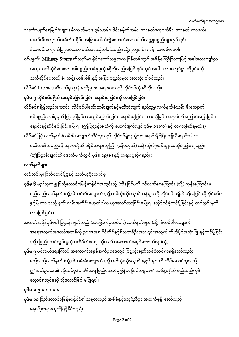သင်္ဘောဖျက်ရေမြှုပ်ဗုံးများ၊ မီးကျည်များ၊ ဂွမ်းယမ်း၊ ဒိုင်းနမိုက်ယမ်း၊ သေနတ်ကျောက်မီး၊ သေနတ် ကာဖက်၊ ခဲယမ်းမီးကျောက်အစိတ်အပိုင်း၊ အခြားပေါက်ကွဲစေတတ်သော ဓါတ်သတ္တုပစ္စည်းများနှင့် ၎င်း ခဲယမ်းမီးကျောက်ပြုလုပ်သော စက်အားလုံးပါဝင်သည်။ သို့ရာတွင် ခဲ၊ ကန့်၊ ယမ်းစိမ်းမပါ။

စစ်ပစ္စည်း <mark>Military Stores</mark> ဆိုသည်မှာ နိုင်ငံတော်သမ္မတက ပြန်တမ်းတွင် အမိန့်ကြော်ငြာစာဖြင့် အခါအားလျော်စွာ အထူးသက်ဆိုင်စေသော စစ်ပစ္စည်းတစ်ခုခုကို ဆိုလိုသည့်အပြင် ၎င်းတွင် အခါ အားလျော်စွာ ထိုပုဒ်မကို သက်ဆိုင်စေသည့် ခဲ၊ ကန့်၊ ယမ်းစိမ်းနှင့် အခြားပစ္စည်းများ အားလုံး ပါဝင်သည်။

လိုင်စင် Licence ဆိုသည်မှာ ဤအက်ဥပဒေအရ ပေးသည့် လိုင်စင်ကို ဆိုလိုသည်။

# ပုဒ်မ ၅ လိုင်စင်မရှိဘဲ အသွင်ပြောင်းခြင်း၊ ရောင်းချခြင်းကို တားမြစ်ခြင်း

လိုင်စင်ရရှိ၍လည်းကောင်း၊ လိုင်စင်ပါစည်းကမ်းချက်နှင့်မညီဘဲလျက် မည်သူမျှလက်နက်ခဲယမ်း မီးကျောက် စစ်ပစ္စည်းတစ်ခုခုကို ပြုလုပ်ခြင်း၊ အသွင်ပြောင်းခြင်း၊ ရောင်းချခြင်း၊ ထားသိုခြင်း၊ ရောင်းလို ကြောင်းပြောခြင်း၊ ရောင်းရန်ဆိုင်ခင်းခြင်းမပြုရ။ (ဤပြဋ္ဌာန်းချက်ကို ဖောက်ဖျက်လျှင် ပုဒ်မ ၁၉(က) နှင့် တရားစွဲဆိုရမည်။) လိုင်စင်ဖြင့် လက်နက်ခဲယမ်းမီးကျောက်ကိုင်သူသည် လိုင်စင်ရှိသူသို့သာ ရောင်းနိုင်ပြီး ဤသို့ရောင်းပါ က ဝယ်သူ၏အမည်နှင့် နေရပ်တို့ကို ခရိုင်တရားသူကြီး (သို့မဟုတ်) အနီးဆုံးရဲစခန်းမှူးထံတိုင်ကြားရ မည်။ (ဤပြဋ္ဌာန်းချက်ကို ဖောက်ဖျက်လျှင် ပုဒ်မ ၁၉(ခ) နှင့် တရားစွဲဆိုရမည်။)

### လက်နက်မျာ**း**

တင်သွင်းမှု၊ ပြည်ပတင်ပို့မှုနှင့် သယ်ယူပို့ဆောင်မှု

- <mark>ပုဒ်မ ၆</mark> မည်သူကမျှ ပြည်ထောင်စုမြန်မာနိုင်ငံအတွင်းသို့ (သို့) ပြင်ပသို့ ပင်လယ်ရေကြောင်း (သို့) ကုန်းကြောင်းမှ မည်သည့်လက်နက် (သို့) ခဲယမ်းမီးကျောက် (သို့) စစ်သုံးသိုလှောင်ကုန်များကို လိုင်စင် မရှိဘဲ ထို့အပြင် ထိုလိုင်စင်က ခွင့်ပြုထားသည့် နည်းလမ်းအတိုင်းမဟုတ်ပါက ယူဆောင်လာခြင်းမပြုရ။ (လိုင်စင်မဲ့တင်ပို့ခြင်းနှင့် တင်သွင်းမှုကို တားမြစ်ခြင်း)
- အထက်အပိုဒ်ပုဒ်မပါ ပြဋ္ဌာန်းချက်သည် (အမြောက်မှတစ်ပါး) လက်နက်များ (သို့) ခဲယမ်းမီးကျောက် အရေအတွက်အတော်အတန်ကို ဥပဒေအရ ပိုင်ဆိုင်ခွင့်ရှိသူတစ်ဦးအား ၎င်းအတွက် ကိုယ်ပိုင်အသုံးပြု ရန်တင်ပို့ခြင်း (သို့) ပြည်ပတင်သွင်းမှုကို မထိခိုက်စေရ။ သို့သော် အကောက်အခွန်ကောက်သူ (သို့)
- <mark>ပုဒ်မ ၇</mark> ပင်လယ်ရေကြောင်းအကောက်အခွန်အက်ဥပဒေတွင် ပြဋ္ဌာန်းချက်တစ်စုံတစ်ရာမရှိသော်လည်း မည်သည့်လက်နက် (သို့) ခဲယမ်းမီးကျောက် (သို့) စစ်သုံးသိုလှောင်ပစ္စည်းများကို ကိုင်ဆောင်သူသည် ဤအက်ဥပဒေ၏ လိုင်စင်ပုဒ်မ ၁၆ အရ ပြည်ထောင်စုမြန်မာနိုင်ငံသမ္မတ၏ အမိန့်မရှိဘဲ မည်သည့်ကုန် လှောင်ရုံတွင်မဆို သိုလှောင်ခြင်းမပြုရပါ။

### $\varphi$ ဒ်မ ၈-၉ x x x x x x

**ပုဒ်မ ၁၀** ပြည်ထောင်စုမြန်မာနိုင်ငံ၏သမ္မတသည် အချိန်နှင့်လျော်ညီစွာ အထက်မုနိုးဆော်သည့် နေ့စဉ်စာများထုတ်ပြန်နိုင်သည်။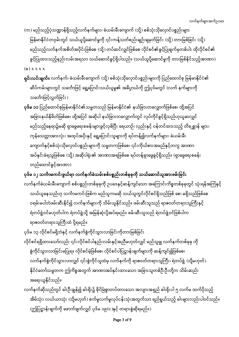(က) မည်သည့်ပုံသဏ္ဍာန်ရှိသည့်လက်နက်များ၊ ခဲယမ်းမီးကျောက် (သို့) စစ်သုံးသိုလှောင်ပစ္စည်းများ မြန်မာနိုင်ငံတဝှမ်းတွင် သယ်ယူပို့ဆောင်မှုကို ၎င်းကန့်သတ်စည်းမျဉ်းချမှတ်ခြင်း (သို့) တားမြစ်ခြင်း (သို့) မည်သည့်လက်နက်အစိတ်အပိုင်းဖြစ်စေ (သို့) တပ်ဆင်လျှင်ဖြစ်စေ လိုင်စင်၏ခွင့်ပြုချက်မှတစ်ပါး ထိုလိုင်စင်၏ ခွင့်ပြုထားသည့်နည်းလမ်းအရသာ သယ်ဆောင်ခွင့်ရှိပါသည်။ (သယ်ယူပို့ဆောင်မှုကို တားမြစ်နိုင်သည့်အာဏာ)  $(a)$  x x x x

- <mark>ရှင်းလင်းချက်။</mark> လက်နက်၊ ခဲယမ်းမီးကျောက် (သို့) စစ်သုံးသိုလှောင်ပစ္စည်းများကို ပြည်ထောင်စု မြန်မာနိုင်ငံ၏ ဆိပ်ကမ်းများတွင် သင်္ဘောဖြင့် ရွှေ့ပြောင်းသယ်ယူမှု၏ အဓိပ္ပာယ်ကို ဤပုဒ်မတွင် (လက် နက်များကို သင်္ဘောဖြင့်လွှတ်ခြင်း)
- **ပုဒ်မ ၁၁** ပြည်ထောင်စုမြန်မာနိုင်ငံ၏သမ္မတသည် မြန်မာနိုင်ငံ၏ နယ်ခြားတလျှောက်ဖြစ်စေ၊ ထို့အပြင် အခြားနယ်နိမိတ်ဖြစ်စေ၊ ထို့အပြင် အဆိုပါ နယ်ခြားတလျှောက်တွင် လုပ်ကိုင်ခွင့်ရှိသည်ဟုယူဆလျှင် မည်သည့်နေရာ၌မဆို ရှာဖွေရေးစခန်းများဖွင့်လှစ်ပြီး ရေယာဉ်၊ လှည်းနှင့် ဝန်တင်ထားသည့် တိရစ္ဆာန် များ၊ ကုန်သေတ္တာအားလုံး၊ အထုပ်အပိုးနှင့် ရွှေ့ပြောင်းသူများကို ရပ်တန့်၍လက်နက်များ၊ ခဲယမ်းမီး ကျောက်နှင့်စစ်သုံးသိုလှောင်ပစ္စည်းများကို သမ္မတကဖြစ်စေ၊ ၎င်းကိုယ်စားအမည်နှင့်တကွ အာဏာ အပ်နှင်းခံရသူဖြစ်စေ (သို့) အဆိုပါရုံး၏ အာဏာအရဖြစ်စေ ရပ်တန့်ရှာဖွေခွင့်ရှိသည်။ (ရှာဖွေရေးစခန်း တည်ထောင်ခွင့်အာဏာ)

ပုဒ်မ ၁၂ သင်္ကာမကင်းဖွယ်ရာ လက်နက်ခဲယမ်းစစ်ပစ္စည်းတစ်ခုခုကို သယ်ဆောင်သူအားဖမ်းခြင်း

လက်နက်ခဲယမ်းမီးကျောက် စစ်ပစ္စည်းတစ်ခုခုကို ဥပဒေနှင့်ဆန့်ကျင်သော အကြောင်းကိစ္စတစ်ခုခုတွင် သုံးရန်အကြံနှင့် သယ်ယူနေသည်ဟု သင်္ကာမကင်းဖြစ်က မည်သူကမဆို သယ်သူတွင်လိုင်စင်ရှိသည်ဖြစ် စေ၊ မရှိသည်ဖြစ်စေ ဝရမ်းမပါဘဲဖမ်းဆီးနိုင်၍ လက်နက်များကို သိမ်းယူနိုင်သည်။ ဖမ်းဆီးသူသည် ရာဇဝတ်တရားသူကြီးနှင့် ရဲတပ်ဖွဲ့ဝင်မဟုတ်ပါက ရဲတပ်ဖွဲ့သို့ အမြန်ဆုံးပို့အပ်ရမည်။ ဖမ်းဆီးသူသည် ရဲတပ်ဖွဲ့ဝင်ဖြစ်ပါက ရာဇဝတ်တရားသူကြီးထံ ပို့ရမည်။

ပုဒ်မ ၁၃ လိုင်စင်မရှိဘဲနှင့် လက်နက်စွဲကိုင်သွားလာခြင်းကိုတားမြစ်ခြင်း

- လိုင်စင်ရရှိထားသော်လည်း ၎င်းလိုင်စင်ပါနည်းလမ်းနှင့်အညီမဟုတ်လျှင် မည်သူမျှ လက်နက်တစ်ခုခု ကို စွဲကိုင်သွားလာခြင်းမပြုရ။ လိုင်စင်မဲ့ဖြစ်စေ၊ လိုင်စင်ပါပြဋ္ဌာန်းချက်များကို ဆန့်ကျင်၍ဖြစ်စေ၊ လက်နက်စွဲကိုင်သွားလာလျှင် ၎င်းစွဲကိုင်သူထံမှ လက်နက်ကို ရာဇဝတ်တရားသူကြီး၊ ရဲတပ်ဖွဲ့ (သို့မဟုတ်) နိုင်ငံတော်သမ္မတက ဤကိစ္စအတွက် အာဏာအပ်နှင်းထားသော အခြားသူတစ်ဦးဦးတို့က သိမ်းဆည်း အရေးယူနိုင်သည်။
- လက်နက်ဆိုသည်တွင် ဓါးဦးရွန်၍ ဓါးရိုး၌ ခိုင်မြဲစွာတပ်ထားသော အလျားအရှည် ဓါးရိုးပါ ၅ လက်မ ထက်ပိုသည့် အိမ်သုံး၊ လယ်ယာသုံး (သို့မဟုတ်) စက်မှုလက်မှုလုပ်ငန်းသုံးအတွက်သာ ရည်ရွယ်သည့် ဓါးများလည်းပါဝင်သည်။  $\langle \alpha \rangle$ ပြဋ္ဌာန်းချက်ကို ဖောက်ဖျက်လျှင် ပုဒ်မ ၁၉(င)နှင့် တရားစွဲဆိုရမည်။)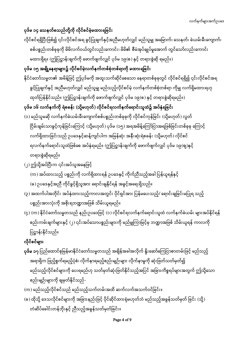### ပုဒ်မ ၁၄ သေနတ်စသည်တို့ကို လိုင်စင်မဲ့မထားရခြင်း

လိုင်စင်ရရှိပြီးဖြစ်၍ ၎င်းလိုင်စင်အရ ခွင့်ပြုချက်နှင့်အညီမဟုတ်လျှင် မည်သူမျှ အမြောက်၊ သေနတ်၊ ခဲယမ်းမီးကျောက်၊ စစ်ပစ္စည်းတစ်ခုခုကို မိမိလက်ဝယ်တွင်လည်းကောင်း၊ မိမိ၏ စီမံအုပ်ချုပ်မှုအောက် တွင်သော်လည်းကောင်း မထားရှိရ။ (ဤပြဋ္ဌာန်းချက်ကို ဖောက်ဖျက်လျှင် ပုဒ်မ ၁၉(စ) နှင့် တရားစွဲဆို ရမည်။)

### ပုဒ်မ ၁၅ အချို့နေရာများ၌ လိုင်စင်မဲ့လက်နက်တစ်စုံတစ်ရာကို မထားရခြင်း

နိုင်ငံတော်သမ္မတ၏ အမိန့်ဖြင့် ဤပုဒ်မကို အထူးသက်ဆိုင်စေသော နေရာတစ်ခုခုတွင် လိုင်စင်ရရှိ၍ ၎င်းလိုင်စင်အရ ခွင့်ပြုချက်နှင့် အညီမဟုတ်လျှင် မည်သူမျှ မည်သည့်လိုင်စင်မဲ့ လက်နက်တစ်စုံတစ်ရာ ကိုမျှ လက်ရှိမထားရဟု ထုတ်ပြန်နိုင်သည်။ (ဤပြဋ္ဌာန်းချက်ကို ဖောက်ဖျက်လျှင် ပုဒ်မ ၁၉(စ) နှင့် တရားစွဲဆိုရမည်။)

### ပုဒ်မ ၁၆ လက်နက်ကို ရဲစခန်း (သို့မဟုတ်) လိုင်စင်ရလက်နက်ရောင်းသူထံ၌ အပ်နှံရခြင်း

- (၁) မည်သူမဆို လက်နက်ခဲယမ်းမီးကျောက်စစ်ပစ္စည်းတစ်ခုခုကို လိုင်စင်ကုန်ခြင်း (သို့မဟုတ်) လွတ် ငြိမ်းချမ်းသာခွင့်ကုန်ခြင်းကြောင့် (သို့မဟုတ်) ပုဒ်မ (၁၅) အရအမိန့်ကြော်ငြာအရဖြစ်ခြင်းတစ်ခုခု ကြောင့် လက်ရှိထားခြင်းသည် ဥပဒေနှင့်ဆန့်ကျင်ပါက အမြန်ဆုံး အနီးဆုံးရဲစခန်း (သို့မဟုတ်) လိုင်စင် ရလက်နက်ရောင်းသူထံဖြစ်စေ အပ်နှံရမည်။ (ဤပြဋ္ဌာန်းချက်ကို ဖောက်ဖျက်လျှင် ပုဒ်မ ၁၉(ဈ)နှင့် တရားစွဲဆိုရမည်။
- (၂) ဤသို့အပ်ပြီးက ၎င်းအပ်သူအနေဖြင့်
	- (က) အပ်ထားသည့် ပစ္စည်းကို လက်ရှိထားရန် ဥပဒေနှင့် ကိုက်ညီသည့်အခါ ပြန်ယူရန်နှင့်
	- (ခ) ဉပဒေနှင့်အညီ ကိုင်ခွင့်ရှိသူအား ရောင်းချနိုင်ရန် အခွင့်အရေးရှိသည်။
- (၃) အထက်ပါအတိုင်း အပ်နှံထားသည့်ကာလအတွင်း ပိုင်ရှင်အား ပြန်မပေးသည့်/ ရောင်းချခြင်းမပြုရ သည့် ပစ္စည်းအားလုံးကို အစိုးရဘဏ္ဍာအဖြစ် သိမ်းယူရမည်။
- (၄) (က) နိုင်ငံတော်သမ္မတသည် နည်းဥပဒေဖြင့် (၁) လိုင်စင်ရလက်နက်ရောင်းသူထံ လက်နက်ခဲယမ်း များအပ်နိုင်ရန် စည်းကမ်းချက်များနှင့် (၂) ၎င်းအပ်သောပစ္စည်းများကို မည်မျှကြာမြင့်မှ ဘဏ္ဍာအဖြစ် သိမ်းယူရန် ကာလကို ပြဋ္ဌာန်းနိုင်သည်။ ĺ

### လိုင်စင်များ

- **ပုဒ်မ ၁၇** ပြည်ထောင်စုမြန်မာနိုင်ငံတော်သမ္မတသည် အချိန်အခါအလိုက် နိူးဆော်ကြေငြာစာတမ်းဖြင့် မည်သည့် အရာရှိက ဖြည့်စွက်ရမည့်ပုံစံ၊ လိုက်နာရမည့်စည်းမျဉ်းများ လိုက်နာမှုကို ဆုံးဖြတ်သတ်မှတ်၍ မည်သည့်လိုင်စင်များကို ပေးရမည်ဟု သတ်မှတ်ဆုံးဖြတ်နိုင်သည့်အပြင် အခြားကိစ္စရပ်များအတွက် ဤသို့သော စည်းမျဉ်းများကို ချမှတ်နိုင်သည်-
- (က) မည်သည့်လိုင်စင်သည် မည်သည့်သက်တမ်းအထိ ဆက်လက်အသက်ဝင်ခြင်း။
- (ခ) ထိုသို့ ဒေသလိုင်စင်များကို အခြားနည်းဖြင့် ပိုင်ဆိုင်ထားရုံမဟုတ်ဘဲ မည်သည့်အခွန်သတ်မှတ် ခြင်း (သို့) တံဆိပ်ခေါင်းတန်ဘိုးနှင့် ညီသည့်အခွန်သတ်မှတ်ခြင်း။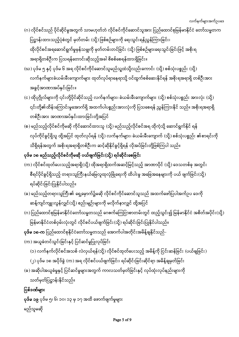# မည်သူမဆို

<mark>ၦဒ်ိမ ၁၉</mark> ပုဒ်ိမ ၅၊ ၆၊ ၁၀၊ ၁၃ မှ ၁၇ အထိ ဖောက်ဖျက်မှုများ

### ပြစ်ဒဏ်များ ĺ

# သတ်မှတ်ပြဋ္ဌာန်းနိုင်သည်။

- (ခ) အဆိုပါအယူခံမှုနှင့် ပြင်ဆင်မှုများအတွက် ကာလသတ်မှတ်ခြင်းနှင့် လုပ်ထုံးလုပ်နည်းများကို
- (၂) ပုဒ်မ ၁၈ အပိုဒ်ခွဲ (က) အရ လိုင်စင်ပယ်ဖျက်ခြင်း၊ ရပ်ဆိုင်းခြင်းဆိုင်ရာ အမိန့်ချမှတ်ခြင်း
- (က) အယူခံတင်သွင်းခြင်းနှင့် ပြင်ဆင်မှုပြုလုပ်ခြင်း (၁) လက်နက်လိုင်စင်အသစ် လဲလှယ်ရန်(သို့) လိုင်စင်ထုတ်ပေးသည့် အမိန့်ကို ငြင်းဆန်ခြင်း (ပယ်ချခြင်း)
- **ပုဒ်မ ၁၈-က** ပြည်ထောင်စုနိုင်ငံတော်သမ္မတသည် အောက်ပါအတိုင်းအမိန့်ချနိုင်သည်-
- မြန်မာနိုင်ငံတစ်ဝှမ်းလုံးတွင် လိုင်စင်ပယ်ဖျက်ခြင်း(သို့) ရပ်ဆိုင်းခြင်းပြုနိုင်ပါသည်။
- ဆန့်ကျင်ကျူးလွန်လျှင်(သို့) စည်းမျဉ်းများကို မလိုက်နာလျှင် ထို့အပြင် (ဂ) ပြည်ထောင်စုမြန်မာနိုင်ငံတော်သမ္မတသည် ဂေဇက်ကြေငြာစာတမ်းတွင် ထည့်သွင်း၍ မြန်မာနိုင်ငံ အစိတ်အပိုင်း(သို့)
- ရပ်ဆိုင်းခြင်းပြုနိုင်ပါသည်။ (ခ) မည်သည့်တရားသူကြီး၏ ရှေ့မှောက်၌မဆို လိုင်စင်ကိုင်ဆောင်သူသည် အထက်ဖော်ပြပါအက်ဥပ ဒေကို
- (က) လိုင်စင်ထုတ်ပေးသည့်အရာရှိ(သို့) ထိုအရာရှိထက်အဆင့်မြင့်သည့် အာဏာပိုင် (သို့) ဒေသတစ်ခု အတွင်း စီရင်ပိုင်ခွင့်ရှိသည့် တရားသူကြီးနယ်မြေလူထုလုံခြုံရေးကို ထိပါးမှု အခြေအနေများကို ပယ် ဖျက်ခြင်း(သို့)

# ပုဒ်မ ၁၈ မည်သည့်လိုင်စင်ကိုမဆို ပယ်ဖျက်ခြင်း(သို့) ရပ်ဆိုင်းစေခြင်း

- (စ) မည်သည့်လိုင်စင်ကိုမဆို ကိုင်ဆောင်ထားသူ (သို့) မည်သည့်လိုင်စင်အရ ထိုကဲ့သို့ ဆောင်ရွက်နိုင် ရန် လုပ်ကိုင်ခွင့်ရှိသူ ထို့အပြင် ထုတ်လုပ်ရန် (သို့) လက်နက်များ၊ ခဲယမ်းမီးကျောက် (သို့) စစ်သုံးပစ္စည်း ၏စာရင်းကို သိရှိရန်အတွက် အစိုးရအရာရှိတစ်ဦးက ဆင့်ဆိုနိုင်ခွင့်ရှိရန် လိုအပ်ခြင်းတို့ဖြစ်ကြပါ သည်။
- အခွင့်အာဏာအပ်နင်းခြင်း။ (င) ထိုပုဂ္ဂိုလ်များကို ၎င်းတို့ပိုင်ဆိုင်သည့် လက်နက်များ၊ ခဲယမ်းမီးကျောက်များ (သို့) စစ်သုံးပစ္စည်း အားလုံး (သို့) ၎င်းတို့၏ထိန်းကြောင်းမှုအောက်ရှိ အထက်ပါပစ္စည်းအားလုံးကို ပြသစေရန် ညွှန်ကြားနိုင် သည်။ အစိုးရအရာရှိ တစ်ဦးအား အာဏာအပ်နှင်းထားခြင်းတို့အပြင်
- အရာရှိတစ်ဦးက ပြသရန်တောင်းဆိုသည့်အခါ စိစစ်စေရန်ထားရှိခြင်း။ (ဃ) ပုဒ်မ ၅ နှင့် ပုဒ်မ ၆ အရ လိုင်စင်ကိုင်ဆောင်သူမည်သူ့ထံသို့လည်းကောင်း (သို့) စစ်သုံးပစ္စည်း (သို့) လက်နက်များခဲယမ်းမီးကျောက်များ ထုတ်လုပ်ရာနေရာသို့ ဝင်ထွက်စစ်ဆေးနိုင်ရန် အစိုးရအရာရှိ တစ်ဦးအား
- ပြဋ္ဌာန်းထားသည့်ပုံစံတွင် မှတ်တမ်း (သို့) ဖြစ်စဉ်များကို ရေးသွင်းရန်ညွှန်ကြားခြင်း၊ ထိုလိုင်စင်အရဆောင်ရွက်မှုမှန်သမျှကို မှတ်တမ်းတင်ခြင်း (သို့) ဖြစ်စဉ်များရေးသွင်းခြင်းဖြင့် အစိုးရ
- လက်နက်များအက်ဥပဒေ (ဂ) လိုင်စင်သည် ပိုင်ဆိုင်မှုအတွက် သာမဟုတ်ဘဲ လိုင်စင်ကိုင်ဆောင်သူအား ပြည်ထောင်စုမြန်မာနိုင်ငံ တော်သမ္မတက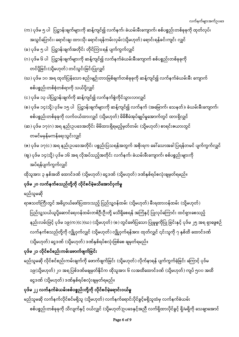### Page 6 of 9

မည်သူမဆို လက်နက်လိုင်စင်မရှိသူ (သို့မဟုတ်) လက်နက်ရောင်းပိုင်ခွင့်မရှိသူထံမှ လက်နက်ခဲယမ်း စစ်ပစ္စည်းတစ်ခုခုကို သိလျက်နှင့် ဝယ်လျှင် (သို့မဟုတ်)ဉပဒေနှင့်အညီ လက်ရှိထားပိုင်ခွင့် ရှိ/မရှိကို သေချာအောင်

## ပုဒ်မ ၂၂ လက်နက်ဲခဲယမ်းစစ်ပစ္စည်းတို့ကို လိုင်စင်မဲ့ရောင်းဝယ်မှု

ငွေဒဏ် (သို့မဟုတ်) ဒဏ်နှစ်ရပ်စလုံးချမှတ်ရမည်။

မည်သူမဆို လိုင်စင်စည်းကမ်းချက်ကို ဖောက်ဖျက်ခြင်း (သို့မဟုတ်) လိုက်နာရန် ပျက်ကွက်ခဲ့ခြင်း ကြောင့် ပုဒ်မ ၁၉(သို့မဟုတ်)၂၀ အရ ပြစ်ဒဏ်မချမှတ်နိုင်က ထိုသူအား ၆ လအထိထောင်ဒဏ် (သို့မဟုတ်) ကျပ် ၅၀၀ အထိ

## ပုဒ်မ ၂၁ လိုင်စင်စည်းကမ်းဖောက်ဖျက်ခြင်း

မည်သူမဆို ရာဇသတ်ကြီးတွင် အဓိပ္ပာယ်ဖော်ပြထားသည့် ပြည်သူ့ဝန်ထမ်း (သို့မဟုတ်) မီးရထားဝန်ထမ်း (သို့မဟုတ်) ပြည်သူ့သယ်ယူပို့ဆောင်ရေးဝန်ထမ်းတစ်ဦးဦးတို့ မသိရှိစေရန် အကြံနှင့် ပြုလုပ်ကြောင်း ထင်ရှားစေသည့် ĺ နည်းလမ်းဖြင့် ပုဒ်မ ၁၉(က)(င)(ဃ) (သို့မဟုတ်) (စ) တွင်ဖော်ပြသော ပြုမူမှုကိုပြု ခြင်းနှင့် ပုဒ်မ ၂၅ အရ ရှာဖွေစဉ် လက်နက်စသည်တို့ကို လျှို့ဝှက်လျှင် (သို့မဟုတ်) လျှို့ဝှက်ရန်အား ထုတ်လျှင် ၎င်းသူကို ၇ နှစ်ထိ ထောင်ဒဏ်  $\left( \mathfrak{J} \right)$ မဟုတ် $\left. \right)$  ငွေဒဏ်  $\left( \mathfrak{J} \right)$ မဟုတ် $\left. \right)$  ဒဏ်နှစ်ရပ်စလုံးဖြစ်စေ ချမှတ်ရမည်။

# ပုဒ်မ ၂၀ လက်နက်စသည်တို့ကို လိုင်စင်မဲ့မသိအောင်ဝှက်မှု

ထိုသူအား ၃ နှစ်အထိ ထောင်ဒဏ် (သို့မဟုတ်) ငွေဒဏ် (သို့မဟုတ်) ဒဏ်နှစ်ရပ်စလုံးချမှတ်ရမည်။

အပ်ရန်ပျက်ကွက်လျှင်

(ဈ) ပုဒ်မ ၁၄(သို့) ပုဒ်မ ၁၆ အရ လိုအပ်သည့်အတိုင်း လက်နက်၊ ခဲယမ်းမီးကျောက်၊ စစ်ပစ္စည်းများကို

တမင်မမှန်မကန်ရေးသွင်းလျှင် (ၜ) ပုဒ်မ ၁၇(င) အရ နည်းဥပဒေအတိုင်း ပစ္စည်းပြသရန်အတွက် အစိုးရက ခေါ်သောအခါ ပြရန်တမင် ပျက်ကွက်လျှင်

စစ်ပစ္စည်းတစ်ခုခုကို လက်ဝယ်ထားလျှင် (သို့မဟုတ်) မိမိစီမံအုပ်ချုပ်မှုအောက်တွင် ထားရှိလျှင် (ဆ) ပုဒ်မ ၁ $\gamma$ (ဂ) အရ နည်းဥပဒေအတိုင်း မိမိထားရှိရမည့်မှတ်တမ်း (သို့မဟုတ်) စာရင်းဇယားတွင်

(င) ပုဒ်မ ၁၃ ပါပြဋ္ဌာန်းချက်ကို ဆန့်ကျင်၍ လက်နက်စွဲကိုင်သွားလာလျှင် (စ) ပုဒ်မ ၁၄(သို့) ပုဒ်မ ၁၅ ပါ ပြဋ္ဌာန်းချက်များကို ဆန့်ကျင်၍ လက်နက် (အမြောက်၊ သေနတ်)၊ ခဲယမ်းမီးကျောက်၊

စစ်ပစ္စည်းတစ်စုံတစ်ရာကို သယ်ပို့လျှင်

တင်ပို့ခြင်း(သို့မဟုတ်) တင်သွင်းခြင်းပြုလျှင် (ဃ) ပုဒ်မ ၁၀ အရ ထုတ်ပြန်သော စည်းမျဉ်းတားမြစ်ချက်တစ်ခုခုကို ဆန့်ကျင်၍ လက်နက်ခဲယမ်းမီး ကျောက်

(ခ) ပုဒ်မ ၅ ပါ ပြဋ္ဌာန်းချက်အတိုင်း တိုင်ကြားရန် ပျက်ကွက်လျှင် (ဂ) ပုဒ်မ ၆ ပါ ပြဋ္ဌာန်းချက်များကို ဆန့်ကျင်၍ လက်နက်ခဲယမ်းမီးကျောက် စစ်ပစ္စည်းတစ်ခုခုကို

(က) ပုဒ်မ ၅ ပါ ပြဋ္ဌာန်းချက်များကို ဆန့်ကျင်၍ လက်နက်၊ ခဲယမ်းမီးကျောက်၊ စစ်ပစ္စည်းတစ်ခုခုကို ထုတ်လုပ်၊ အသွင်ပြောင်း၊ ရောင်းချ၊ ထားသို၊ ရောင်းရန်ကမ်းလှမ်း(သို့မဟုတ်) ရောင်းရန်ခင်းကျင်း လျှင်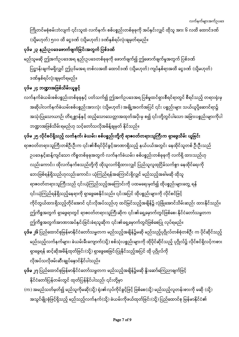ကြိုတင်မစုံစမ်းဘဲလျက် ၎င်းသူထံ လက်နက်၊ စစ်ပစ္စည်းတစ်ခုခုကို အပ်နှင်းလျှင် ထိုသူ အား ၆ လထိ ထောင်ဒဏ် (သို့မဟုတ်) ၅၀၀ ထိ ငွေဒဏ် (သို့မဟုတ်) ဒဏ်နှစ်ရပ်လုံးချမှတ်ရမည်။

## ပုဒ်မ ၂၃ နည်းဥပဒေဖောက်ဖျက်ခြင်းအတွက် ပြစ်ဒဏ်

မည်သူမဆို ဤအက်ဥပဒေအရ နည်းဥပဒေတစ်ခုခုကို ဖောက်ဖျက်၍ ဤဖောက်ဖျက်မှုအတွက် ပြစ်ဒဏ် ပြဋ္ဌာန်းချက်မရှိလျှင် ဤပုဒ်မအရ တစ်လအထိ ထောင်ဒဏ် (သို့မဟုတ်) ကျပ်နှစ်ရာအထိ ငွေဒဏ် (သို့မဟုတ်) ဒဏ်နှစ်ရပ်လုံးချမှတ်ရမည်။

## ပုဒ်မ ၂၄ ဘဏ္ဍာအဖြစ်သိမ်းယူခွင့်

လက်နက်ခဲယမ်းစစ်ပစ္စည်းတစ်ခုခုနှင့် ပတ်သက်၍ ဤအက်ဥပဒေအရ ပြစ်မှုထင်ရှားစီရင်ရာတွင် စီရင်သည့် တရားရုံးမှ အဆိုပါလက်နက်ခဲယမ်းစစ်ပစ္စည်းအားလုံး (သို့မဟုတ်) အချို့အဝက်အပြင် ၎င်း ပစ္စည်းများ သယ်ယူပို့ဆောင်ရာ၌ အသုံးပြုသောယာဉ်၊ တိရစ္ဆာန်နှင့် ထည့်သောသေတ္တာအထုတ်အပိုးမှ စ၍ ၎င်းတို့တွင်ပါသော အခြားပစ္စည်းများကိုပါ ဘဏ္ဍာအဖြစ်သိမ်းရမည်ဟု သင့်တော်သလိုအမိန့်ချမှတ် နိုင်သည်။

ပုဒ်မ ၂၅ လိုင်စင်ရှိသည့် လက်နက်၊ ခဲယမ်း၊ စစ်ပစ္စည်းတို့ကို ရာဇဝတ်တရားသူကြီးက ရှာဖွေသိမ်း ယူခြင်း ရာဇဝတ်တရားသူကြီးတစ်ဦးဦးက ၎င်း၏စီရင်ပိုင်ခွင့်အာဏာရှိသည့် နယ်ပယ်အတွင်း နေထိုင်သူတစ် ဦးဦးသည် ဉပဒေနှင့်ဆန့်ကျင်သော ကိစ္စတစ်ခုခုအတွက် လက်နက်ခဲယမ်း၊ စစ်ပစ္စည်းတစ်ခုခုကို လက်ရှိ ထားသည်ဟု လည်းကောင်း၊ ထိုလက်နက်စသည်တို့ကို ထိုသူလက်ရှိထားလျှင် ပြည်သူလူထုငြိမ်သက်စွာ နေထိုင်ရေးကို ဘေးဖြစ်ရန်ရှိသည်ဟုလည်းကောင်း၊ ယုံကြည်ရန်အကြောင်းရှိလျှင် မည်သည့်အခါမဆို ထိုသူ ရာဇဝတ်တရားသူကြီးသည် ၎င်းယုံကြည်သည့်အကြောင်းကို ပထမရေးမှတ်၍ ထိုပစ္စည်းများတွေ့ ရန် ၎င်းယုံကြည်ရန်ရှိသည့်နေရာကို ရှာဖွေစေနိုင်သည်။ ၎င်းအပြင် ထိုပစ္စည်းများကို လိုင်စင်ဖြင့် ကိုင်တွယ်ထားရှိသည့်တိုင်အောင် ၎င်းလိုအပ်သည်ဟု ထင်မြင်သည့်အချိန်၌ လုံခြုံအောင်သိမ်းဆည်း ထားနိုင်သည်။ ဤကိစ္စအတွက် ရှာဖွေရာတွင် ရာဇဝတ်တရားသူကြီးဆိုက ၎င်း၏ရှေ့မှောက်တွင်ဖြစ်စေ၊ နိုင်ငံတော်သမ္မတက ဤကိစ္စအတွက်အာဏာအပ်နှင်းခြင်းခံရသူဆိုက ၎င်း၏ရှေ့မှောက်တွင်ဖြစ်စေပြု လုပ်ရမည်။

- **ပုဒ်မ ၂၆** ပြည်ထောင်စုမြန်မာနိုင်ငံတော်သမ္မတက မည်သည့်အချိန်၌မဆို မည်သည့်ပုဂ္ဂိုလ်တစ်စုံတစ်ဦး က ပိုင်ဆိုင်သည့် မည်သည့်လက်နက်များ၊ ခဲယမ်းမီးကျောက်(သို့) စစ်သုံးပစ္စည်းများကို ထိုပိုင်ဆိုင်သည့် ပုဂ္ဂိုလ်၌ လိုင်စင်ရှိလင့်ကစား ရှာဖွေရန် ဆင့်ဆိုအမိန့်ထုတ်ခြင်း(သို့) ရှာဖွေစေခြင်းပြုနိုင်သည့်အပြင် ထို ပုဂ္ဂိုလ်ကို လိုအပ်သလိုဖမ်းဆီးချုပ်နောင်နိုင်ပါသည်။
- **ပုဒ်မ ၂၇** ပြည်ထောင်စုမြန်မာနိုင်ငံတော်သမ္မတက မည်သည့်အချိန်၌မဆို နိူးဆော်ကြေညာချက်ဖြင့် နိုင်ငံတော်ပြန်တမ်းတွင် ထုတ်ပြန်နိုင်ပါသည်၊ ၎င်းတို့မှာ
- (က) အမည်သတ်မှတ်၍ မည်သူကိုမဆို(သို့) ရုံး၏လုပ်ကိုင်ခွင့်ဖြင့် ဖြစ်စေ(သို့) မည်သည့်လူတန်းစားကို မဆို (သို့) အသွင်မျိုးစုံဖြင့်ရှိသည့် မည်သည့်လက်နက်(သို့) ခဲယမ်းကိုဖယ်ထုတ်ခြင်း(သို့) ပြည်ထောင်စု မြန်မာနိုင်ငံ၏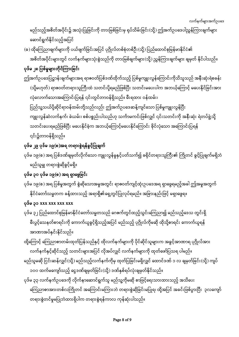ကြေညာစာအားတစ်လကြိုတင် အကြောင်းမကြားဘဲ တရားစွဲဆိုခြင်းမပြုရ၊ ထို့အပြင် အခင်းဖြစ်ပွားပြီး ၃လကျော် တရားစွဲတင်မှုမပြုဘဲထားရှိပါက တရားစွဲရန်ကာလ ကုန်ဆုံးပါသည်။

၁၀၀ ထက်မကျော်သည့် ငွေဒဏ်ချမှတ်ခြင်း(သို့) ဒဏ်နှစ်ရပ်လုံးချမှတ်နိုင်သည်။ ပုဒ်မ ၃၃ လက်နက်ဥပဒေကို လိုက်နာဆောင်ရွက်သူ မည်သူ့ကိုမဆို စာဖြင့်ရေးသားထားသည့် အသိပေး

- လက်နက်နှင့်ဆိုင်သည့် သတင်းများအပြင် လိုအပ်လျှင် လက်နက်များကို ထုတ်ဖော်ပြသရ ပါမည်။ မည်သူမဆို ငြင်းဆန်လျှင်(သို့) မည်သည့်လက်နက်ကိုမှ ထုတ်ပြခြင်းမရှိလျှင် ထောင်ဒဏ် ၁ လ ချမှတ်ခြင်း(သို့) ကျပ်
- အာဏာအပ်နင်းနိုင်သည်။ ထို့ကြောင့် ကြေညာစာတမ်းထုတ်ပြန်သည်နှင့် ထိုလက်နက်များကို ပိုင်ဆိုင်သူများက အခွင့်အာဏာရ ပုဂ္ဂိုလ်အား
- ၃၁ xxx xxx xxx xxx ပုဒ်မ ၃၂ ပြည်ထောင်စုမြန်မာနိုင်ငံတော်သမ္မတသည် ဂေဇက်တွင်ထည့်သွင်းကြေညာ၍ မည်သည့်ဒေသ တွင်းရှိ မီးပွင့်သေနတ်စာရင်းကို ကောက်ယူခွင့်ရှိသည့်အပြင် မည်သည့် ပုဂ္ဂိုလ်ကိုမဆို ထိုသို့စာရင်း ကောက်ယူရန်
- ပုဒ်မ ၁၉(စ) အရ ပြစ်မှုအတွက် စွဲဆိုသောအမှုအတွင်း ရာဇဝတ်ကျင့်ထုံးဉပဒေအရ ရှာဖွေရမည့်အခါ ဤအမှုအတွက် နိုင်ငံတော်သမ္မတက ခန့်ထားသည့် အရာရှိ၏ရှေ့တွင်ပြုလုပ်ရမည်။ အခြားနည်းဖြင့် မရှာဖွေရ။

# ပုဒ်မ ၃၀ ပုဒ်မ ၁၉(စ) အရ ရှာဖွေခြင်း

- ပုဒ်မ ၂၉ ပုဒ်မ ၁၉(စ)အရ တရားစွဲရန်ခွင့်ပြုချက် ပုဒ်မ ၁၉(စ) အရ ပြစ်ဒဏ်ချမှတ်လိုက်သော ကျူးလွန်မှုနှင့်ပတ်သက်၍ ခရိုင်တရားသူကြီး၏ ကြိုတင် ခွင့်ပြုချက်မရှိဘဲ မည်သူမျှ တရားစွဲဆိုခွင့်မရှိ။
- ဤအက်ဥပဒေပြဋ္ဌာန်းချက်များအရ ရာဇဝတ်ပြစ်ဒဏ်ထိုက်သည့် ပြစ်မှုကျူးလွန်ကြောင်းကိုသိသူသည် အနီးဆုံးရဲစခန်း (သို့မဟုတ်) ရာဇဝတ်တရားသူကြီးထံ သတင်းပို့ရမည်ဖြစ်ပြီး သတင်းမပေးပါက အဘယ့်ကြောင့် မပေးနိုင်ခြင်းအား လုံလောက်သောအကြောင်းပြရန် ၎င်းတွင်တာဝန်ရှိသည်။ မီးရထား ဝန်ထမ်း၊ ပြည်သူ့သယ်ပို့ဆိုင်ရာဝန်ထမ်းတို့သည်လည်း ဤအက်ဉပဒေဆန့်ကျင်သော ပြစ်မှုကျူးလွန်ပြီး ĺ ကျူးလွန်ဆဲလက်နက်၊ ခဲယမ်း၊ စစ်ပစ္စည်းပါသည်ဟု သင်္ကာမကင်းဖြစ်လျှင် ၎င်းသတင်းကို အနီးဆုံး ရဲတပ်ဖွဲ့သို့ သတင်းပေးရမည်ဖြစ်ပြီး မပေးနိုင်ခဲ့က အဘယ့်ကြောင့်မပေးနိုင်ကြောင်း ခိုင်လုံသော အကြောင်းပြရန် ၎င်း၌တာဝန်ရှိသည်။

# ပုဒ်မ ၂၈ ပြစ်မှုများတိုင်ကြားခြင်း

- ဆောင်ရွက်နိုင်သည့်အပြင် (ခ) ထိုကြေညာချက်များကို ပယ်ဖျက်ခြင်းအပြင် ပုဂ္ဂိုလ်တစ်စုံတစ်ဦး(သို့) ပြည်ထောင်စုမြန်မာနိုင်ငံ၏ အစိတ်အပိုင်းများတွင် လက်နက်များသုံးစွဲသည်ကို တားမြစ်ချက်များ(သို့) ညွှန်ကြားချက်များ ချမှတ် နိုင်ပါသည်။
- မည်သည့်အစိတ်အပိုင်း၌ အသုံးပြုခြင်းကို တားမြစ်ခြင်းမှ ရုပ်သိမ်းခြင်း(သို့) ဤအက်ဥပဒေပါညွှန်ကြားချက်များ